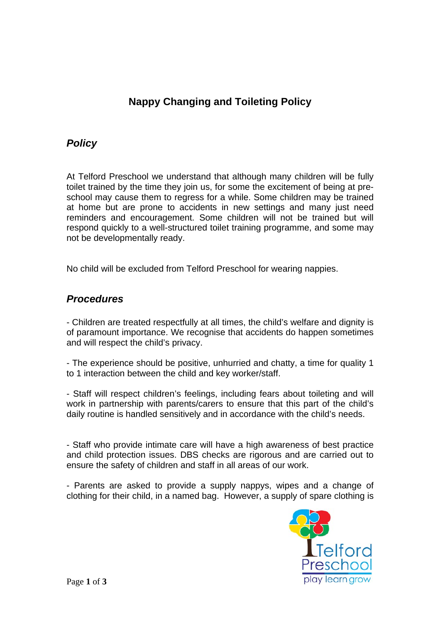## **Nappy Changing and Toileting Policy**

## *Policy*

At Telford Preschool we understand that although many children will be fully toilet trained by the time they join us, for some the excitement of being at preschool may cause them to regress for a while. Some children may be trained at home but are prone to accidents in new settings and many just need reminders and encouragement. Some children will not be trained but will respond quickly to a well-structured toilet training programme, and some may not be developmentally ready.

No child will be excluded from Telford Preschool for wearing nappies.

## *Procedures*

- Children are treated respectfully at all times, the child's welfare and dignity is of paramount importance. We recognise that accidents do happen sometimes and will respect the child's privacy.

- The experience should be positive, unhurried and chatty, a time for quality 1 to 1 interaction between the child and key worker/staff.

- Staff will respect children's feelings, including fears about toileting and will work in partnership with parents/carers to ensure that this part of the child's daily routine is handled sensitively and in accordance with the child's needs.

- Staff who provide intimate care will have a high awareness of best practice and child protection issues. DBS checks are rigorous and are carried out to ensure the safety of children and staff in all areas of our work.

- Parents are asked to provide a supply nappys, wipes and a change of clothing for their child, in a named bag. However, a supply of spare clothing is

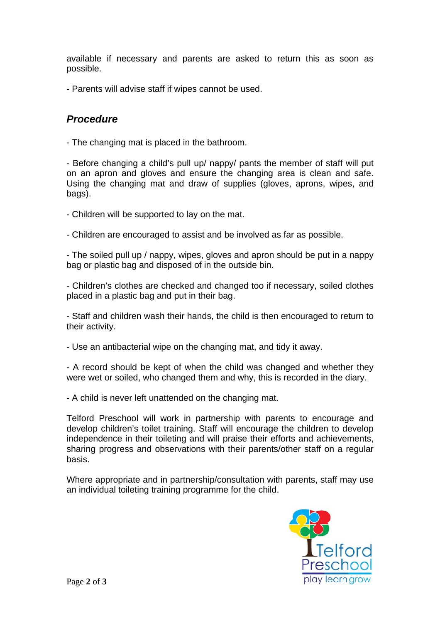available if necessary and parents are asked to return this as soon as possible.

- Parents will advise staff if wipes cannot be used.

## *Procedure*

- The changing mat is placed in the bathroom.

- Before changing a child's pull up/ nappy/ pants the member of staff will put on an apron and gloves and ensure the changing area is clean and safe. Using the changing mat and draw of supplies (gloves, aprons, wipes, and bags).

- Children will be supported to lay on the mat.

- Children are encouraged to assist and be involved as far as possible.

- The soiled pull up / nappy, wipes, gloves and apron should be put in a nappy bag or plastic bag and disposed of in the outside bin.

- Children's clothes are checked and changed too if necessary, soiled clothes placed in a plastic bag and put in their bag.

- Staff and children wash their hands, the child is then encouraged to return to their activity.

- Use an antibacterial wipe on the changing mat, and tidy it away.

- A record should be kept of when the child was changed and whether they were wet or soiled, who changed them and why, this is recorded in the diary.

- A child is never left unattended on the changing mat.

Telford Preschool will work in partnership with parents to encourage and develop children's toilet training. Staff will encourage the children to develop independence in their toileting and will praise their efforts and achievements, sharing progress and observations with their parents/other staff on a regular basis.

Where appropriate and in partnership/consultation with parents, staff may use an individual toileting training programme for the child.